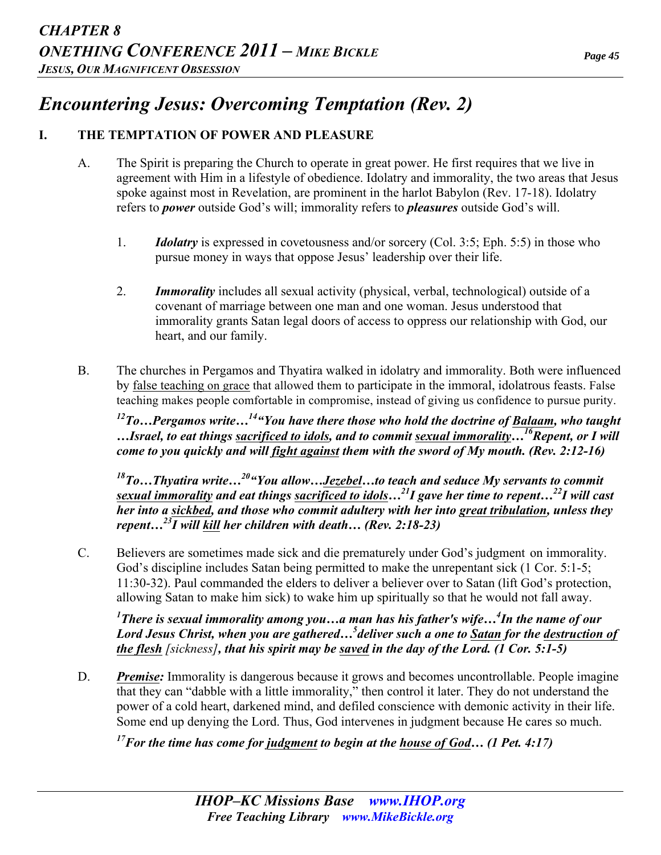# *Encountering Jesus: Overcoming Temptation (Rev. 2)*

## **I. THE TEMPTATION OF POWER AND PLEASURE**

- A. The Spirit is preparing the Church to operate in great power. He first requires that we live in agreement with Him in a lifestyle of obedience. Idolatry and immorality, the two areas that Jesus spoke against most in Revelation, are prominent in the harlot Babylon (Rev. 17-18). Idolatry refers to *power* outside God's will; immorality refers to *pleasures* outside God's will.
	- 1. *Idolatry* is expressed in covetousness and/or sorcery (Col. 3:5; Eph. 5:5) in those who pursue money in ways that oppose Jesus' leadership over their life.
	- 2. *Immorality* includes all sexual activity (physical, verbal, technological) outside of a covenant of marriage between one man and one woman. Jesus understood that immorality grants Satan legal doors of access to oppress our relationship with God, our heart, and our family.
- B. The churches in Pergamos and Thyatira walked in idolatry and immorality. Both were influenced by false teaching on grace that allowed them to participate in the immoral, idolatrous feasts. False teaching makes people comfortable in compromise, instead of giving us confidence to pursue purity.

*12To…Pergamos write…14"You have there those who hold the doctrine of Balaam, who taught …Israel, to eat things sacrificed to idols, and to commit sexual immorality…16Repent, or I will come to you quickly and will fight against them with the sword of My mouth. (Rev. 2:12-16)* 

*18To…Thyatira write…20"You allow…Jezebel…to teach and seduce My servants to commit sexual immorality and eat things sacrificed to idols…21I gave her time to repent…22I will cast her into a sickbed, and those who commit adultery with her into great tribulation, unless they repent…23I will kill her children with death… (Rev. 2:18-23)* 

C. Believers are sometimes made sick and die prematurely under God's judgment on immorality. God's discipline includes Satan being permitted to make the unrepentant sick (1 Cor. 5:1-5; 11:30-32). Paul commanded the elders to deliver a believer over to Satan (lift God's protection, allowing Satan to make him sick) to wake him up spiritually so that he would not fall away.

*1 There is sexual immorality among you…a man has his father's wife…4 In the name of our Lord Jesus Christ, when you are gathered…<sup>5</sup> deliver such a one to Satan for the destruction of the flesh [sickness], that his spirit may be saved in the day of the Lord. (1 Cor. 5:1-5)* 

D. *Premise:* Immorality is dangerous because it grows and becomes uncontrollable. People imagine that they can "dabble with a little immorality," then control it later. They do not understand the power of a cold heart, darkened mind, and defiled conscience with demonic activity in their life. Some end up denying the Lord. Thus, God intervenes in judgment because He cares so much.

*17For the time has come for judgment to begin at the house of God… (1 Pet. 4:17)*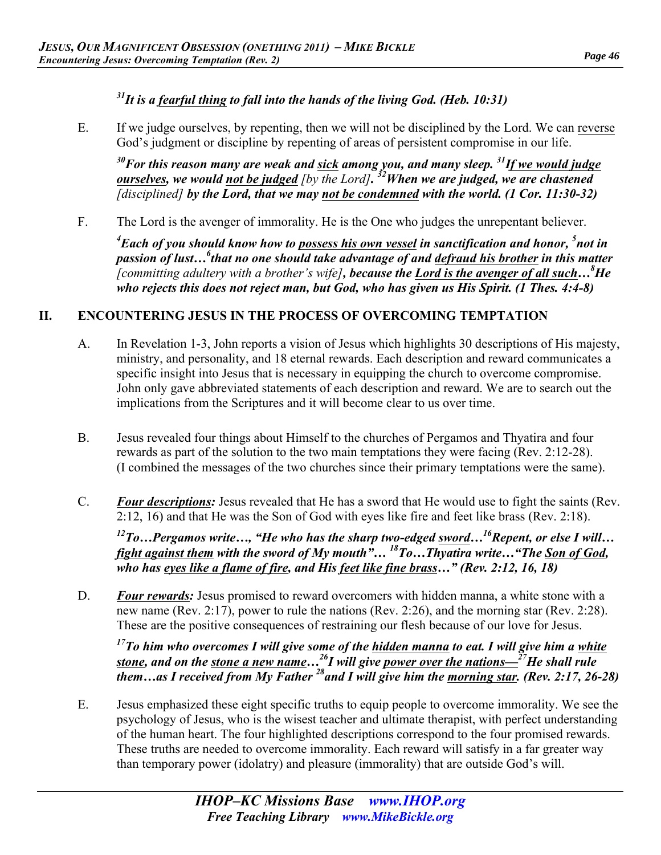# *31It is a fearful thing to fall into the hands of the living God. (Heb. 10:31)*

E. If we judge ourselves, by repenting, then we will not be disciplined by the Lord. We can reverse God's judgment or discipline by repenting of areas of persistent compromise in our life.

*30For this reason many are weak and sick among you, and many sleep. 31If we would judge ourselves, we would not be judged [by the Lord]. 32When we are judged, we are chastened [disciplined] by the Lord, that we may not be condemned with the world. (1 Cor. 11:30-32)* 

F. The Lord is the avenger of immorality. He is the One who judges the unrepentant believer.

*4 Each of you should know how to possess his own vessel in sanctification and honor, <sup>5</sup> not in*  passion of lust...<sup>6</sup> that no one should take advantage of and <u>defraud his brother</u> in this matter *[committing adultery with a brother's wife], because the Lord is the avenger of all such…8 He who rejects this does not reject man, but God, who has given us His Spirit. (1 Thes. 4:4-8)* 

### **II. ENCOUNTERING JESUS IN THE PROCESS OF OVERCOMING TEMPTATION**

- A. In Revelation 1-3, John reports a vision of Jesus which highlights 30 descriptions of His majesty, ministry, and personality, and 18 eternal rewards. Each description and reward communicates a specific insight into Jesus that is necessary in equipping the church to overcome compromise. John only gave abbreviated statements of each description and reward. We are to search out the implications from the Scriptures and it will become clear to us over time.
- B. Jesus revealed four things about Himself to the churches of Pergamos and Thyatira and four rewards as part of the solution to the two main temptations they were facing (Rev. 2:12-28). (I combined the messages of the two churches since their primary temptations were the same).
- C. *Four descriptions:* Jesus revealed that He has a sword that He would use to fight the saints (Rev. 2:12, 16) and that He was the Son of God with eyes like fire and feet like brass (Rev. 2:18).

*12To…Pergamos write…, "He who has the sharp two-edged sword…16Repent, or else I will… fight against them with the sword of My mouth"… 18To…Thyatira write…"The Son of God, who has eyes like a flame of fire, and His feet like fine brass…" (Rev. 2:12, 16, 18)* 

D. *Four rewards:* Jesus promised to reward overcomers with hidden manna, a white stone with a new name (Rev. 2:17), power to rule the nations (Rev. 2:26), and the morning star (Rev. 2:28). These are the positive consequences of restraining our flesh because of our love for Jesus.

*17To him who overcomes I will give some of the hidden manna to eat. I will give him a white stone, and on the stone a new name…26I will give power over the nations—27He shall rule them…as I received from My Father 28and I will give him the morning star. (Rev. 2:17, 26-28)* 

E. Jesus emphasized these eight specific truths to equip people to overcome immorality. We see the psychology of Jesus, who is the wisest teacher and ultimate therapist, with perfect understanding of the human heart. The four highlighted descriptions correspond to the four promised rewards. These truths are needed to overcome immorality. Each reward will satisfy in a far greater way than temporary power (idolatry) and pleasure (immorality) that are outside God's will.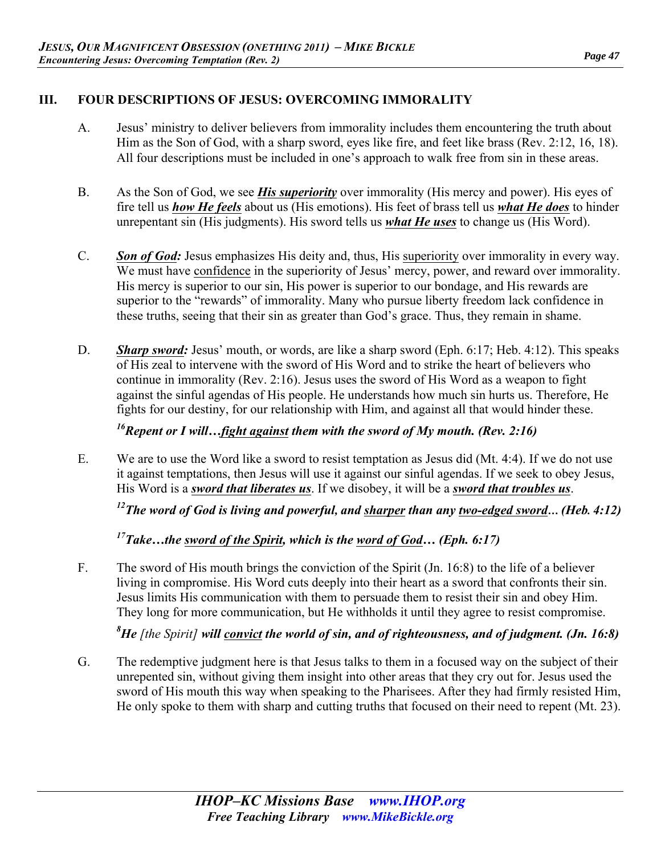#### *Page 47*

#### **III. FOUR DESCRIPTIONS OF JESUS: OVERCOMING IMMORALITY**

- A. Jesus' ministry to deliver believers from immorality includes them encountering the truth about Him as the Son of God, with a sharp sword, eyes like fire, and feet like brass (Rev. 2:12, 16, 18). All four descriptions must be included in one's approach to walk free from sin in these areas.
- B. As the Son of God, we see *His superiority* over immorality (His mercy and power). His eyes of fire tell us *how He feels* about us (His emotions). His feet of brass tell us *what He does* to hinder unrepentant sin (His judgments). His sword tells us *what He uses* to change us (His Word).
- C. *Son of God:* Jesus emphasizes His deity and, thus, His superiority over immorality in every way. We must have confidence in the superiority of Jesus' mercy, power, and reward over immorality. His mercy is superior to our sin, His power is superior to our bondage, and His rewards are superior to the "rewards" of immorality. Many who pursue liberty freedom lack confidence in these truths, seeing that their sin as greater than God's grace. Thus, they remain in shame.
- D. *Sharp sword:* Jesus' mouth, or words, are like a sharp sword (Eph. 6:17; Heb. 4:12). This speaks of His zeal to intervene with the sword of His Word and to strike the heart of believers who continue in immorality (Rev. 2:16). Jesus uses the sword of His Word as a weapon to fight against the sinful agendas of His people. He understands how much sin hurts us. Therefore, He fights for our destiny, for our relationship with Him, and against all that would hinder these.

*16Repent or I will…fight against them with the sword of My mouth. (Rev. 2:16)* 

E. We are to use the Word like a sword to resist temptation as Jesus did (Mt. 4:4). If we do not use it against temptations, then Jesus will use it against our sinful agendas. If we seek to obey Jesus, His Word is a *sword that liberates us*. If we disobey, it will be a *sword that troubles us*.

*12The word of God is living and powerful, and sharper than any two-edged sword… (Heb. 4:12)* 

*17Take…the sword of the Spirit, which is the word of God… (Eph. 6:17)* 

F. The sword of His mouth brings the conviction of the Spirit (Jn. 16:8) to the life of a believer living in compromise. His Word cuts deeply into their heart as a sword that confronts their sin. Jesus limits His communication with them to persuade them to resist their sin and obey Him. They long for more communication, but He withholds it until they agree to resist compromise.

*8 He [the Spirit] will convict the world of sin, and of righteousness, and of judgment. (Jn. 16:8)* 

G. The redemptive judgment here is that Jesus talks to them in a focused way on the subject of their unrepented sin, without giving them insight into other areas that they cry out for. Jesus used the sword of His mouth this way when speaking to the Pharisees. After they had firmly resisted Him, He only spoke to them with sharp and cutting truths that focused on their need to repent (Mt. 23).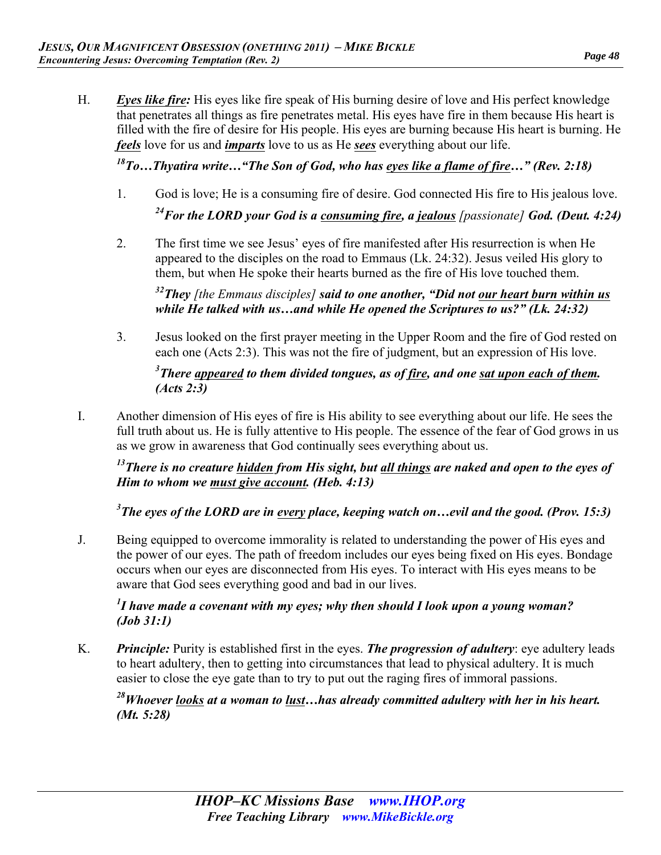H. *Eyes like fire:* His eyes like fire speak of His burning desire of love and His perfect knowledge that penetrates all things as fire penetrates metal. His eyes have fire in them because His heart is filled with the fire of desire for His people. His eyes are burning because His heart is burning. He *feels* love for us and *imparts* love to us as He *sees* everything about our life.

*18To…Thyatira write…"The Son of God, who has eyes like a flame of fire…" (Rev. 2:18)* 

- 1. God is love; He is a consuming fire of desire. God connected His fire to His jealous love. <sup>24</sup>For the LORD your God is a consuming fire, a jealous [passionate] God. (Deut. 4:24)
- 2. The first time we see Jesus' eyes of fire manifested after His resurrection is when He appeared to the disciples on the road to Emmaus (Lk. 24:32). Jesus veiled His glory to them, but when He spoke their hearts burned as the fire of His love touched them.

*32They [the Emmaus disciples] said to one another, "Did not our heart burn within us while He talked with us…and while He opened the Scriptures to us?" (Lk. 24:32)* 

3. Jesus looked on the first prayer meeting in the Upper Room and the fire of God rested on each one (Acts 2:3). This was not the fire of judgment, but an expression of His love.

#### *3 There appeared to them divided tongues, as of fire, and one sat upon each of them. (Acts 2:3)*

I. Another dimension of His eyes of fire is His ability to see everything about our life. He sees the full truth about us. He is fully attentive to His people. The essence of the fear of God grows in us as we grow in awareness that God continually sees everything about us.

*13There is no creature hidden from His sight, but all things are naked and open to the eyes of Him to whom we must give account. (Heb. 4:13)* 

*3 The eyes of the LORD are in every place, keeping watch on…evil and the good. (Prov. 15:3)* 

J. Being equipped to overcome immorality is related to understanding the power of His eyes and the power of our eyes. The path of freedom includes our eyes being fixed on His eyes. Bondage occurs when our eyes are disconnected from His eyes. To interact with His eyes means to be aware that God sees everything good and bad in our lives.

*1 I have made a covenant with my eyes; why then should I look upon a young woman? (Job 31:1)* 

K. *Principle:* Purity is established first in the eyes. *The progression of adultery*: eye adultery leads to heart adultery, then to getting into circumstances that lead to physical adultery. It is much easier to close the eye gate than to try to put out the raging fires of immoral passions.

*28Whoever looks at a woman to lust…has already committed adultery with her in his heart. (Mt. 5:28)*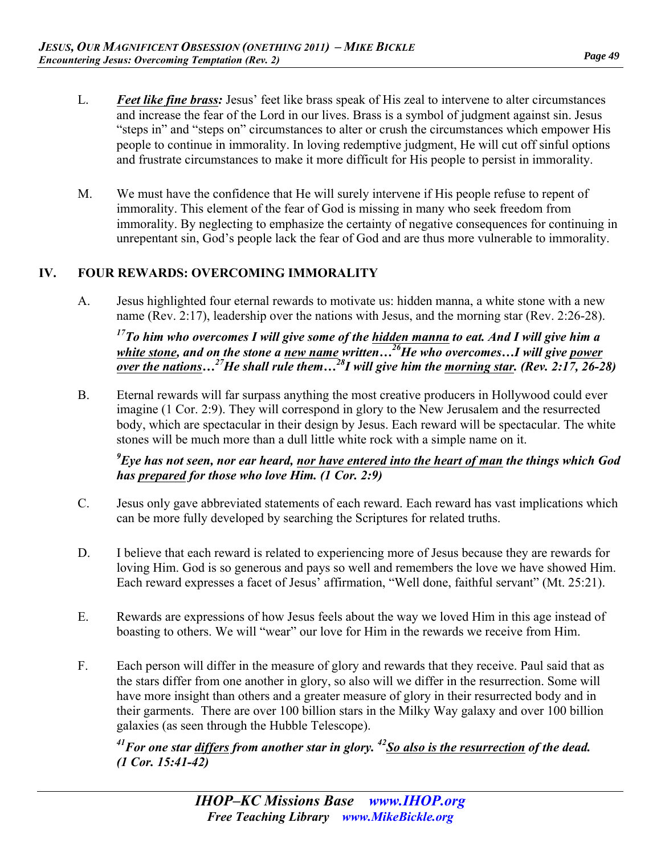- L. *Feet like fine brass:* Jesus' feet like brass speak of His zeal to intervene to alter circumstances and increase the fear of the Lord in our lives. Brass is a symbol of judgment against sin. Jesus "steps in" and "steps on" circumstances to alter or crush the circumstances which empower His people to continue in immorality. In loving redemptive judgment, He will cut off sinful options and frustrate circumstances to make it more difficult for His people to persist in immorality.
- M. We must have the confidence that He will surely intervene if His people refuse to repent of immorality. This element of the fear of God is missing in many who seek freedom from immorality. By neglecting to emphasize the certainty of negative consequences for continuing in unrepentant sin, God's people lack the fear of God and are thus more vulnerable to immorality.

#### **IV. FOUR REWARDS: OVERCOMING IMMORALITY**

A. Jesus highlighted four eternal rewards to motivate us: hidden manna, a white stone with a new name (Rev. 2:17), leadership over the nations with Jesus, and the morning star (Rev. 2:26-28).

*17To him who overcomes I will give some of the hidden manna to eat. And I will give him a*  white stone, and on the stone a new name written...<sup>26</sup>He who overcomes...I will give power *over the nations…27He shall rule them…28I will give him the morning star. (Rev. 2:17, 26-28)* 

B. Eternal rewards will far surpass anything the most creative producers in Hollywood could ever imagine (1 Cor. 2:9). They will correspond in glory to the New Jerusalem and the resurrected body, which are spectacular in their design by Jesus. Each reward will be spectacular. The white stones will be much more than a dull little white rock with a simple name on it.

*9 Eye has not seen, nor ear heard, nor have entered into the heart of man the things which God has prepared for those who love Him. (1 Cor. 2:9)* 

- C. Jesus only gave abbreviated statements of each reward. Each reward has vast implications which can be more fully developed by searching the Scriptures for related truths.
- D. I believe that each reward is related to experiencing more of Jesus because they are rewards for loving Him. God is so generous and pays so well and remembers the love we have showed Him. Each reward expresses a facet of Jesus' affirmation, "Well done, faithful servant" (Mt. 25:21).
- E. Rewards are expressions of how Jesus feels about the way we loved Him in this age instead of boasting to others. We will "wear" our love for Him in the rewards we receive from Him.
- F. Each person will differ in the measure of glory and rewards that they receive. Paul said that as the stars differ from one another in glory, so also will we differ in the resurrection. Some will have more insight than others and a greater measure of glory in their resurrected body and in their garments. There are over 100 billion stars in the Milky Way galaxy and over 100 billion galaxies (as seen through the Hubble Telescope).

*41For one star differs from another star in glory. 42So also is the resurrection of the dead. (1 Cor. 15:41-42)*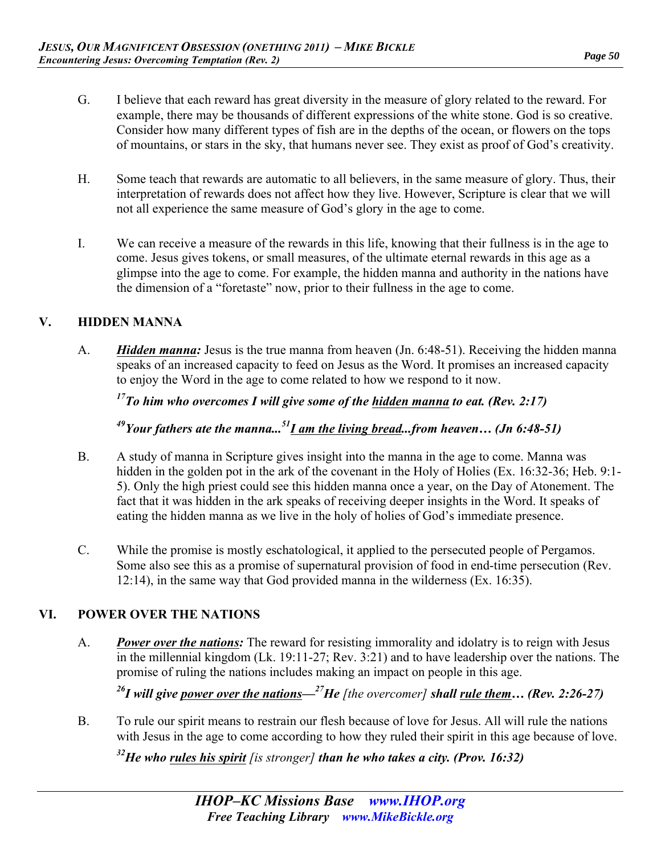- G. I believe that each reward has great diversity in the measure of glory related to the reward. For example, there may be thousands of different expressions of the white stone. God is so creative. Consider how many different types of fish are in the depths of the ocean, or flowers on the tops of mountains, or stars in the sky, that humans never see. They exist as proof of God's creativity.
- H. Some teach that rewards are automatic to all believers, in the same measure of glory. Thus, their interpretation of rewards does not affect how they live. However, Scripture is clear that we will not all experience the same measure of God's glory in the age to come.
- I. We can receive a measure of the rewards in this life, knowing that their fullness is in the age to come. Jesus gives tokens, or small measures, of the ultimate eternal rewards in this age as a glimpse into the age to come. For example, the hidden manna and authority in the nations have the dimension of a "foretaste" now, prior to their fullness in the age to come.

#### **V. HIDDEN MANNA**

A. *Hidden manna:* Jesus is the true manna from heaven (Jn. 6:48-51). Receiving the hidden manna speaks of an increased capacity to feed on Jesus as the Word. It promises an increased capacity to enjoy the Word in the age to come related to how we respond to it now.

*17To him who overcomes I will give some of the hidden manna to eat. (Rev. 2:17)* 

*49Your fathers ate the manna...51I am the living bread...from heaven… (Jn 6:48-51)* 

- B. A study of manna in Scripture gives insight into the manna in the age to come. Manna was hidden in the golden pot in the ark of the covenant in the Holy of Holies (Ex. 16:32-36; Heb. 9:1-5). Only the high priest could see this hidden manna once a year, on the Day of Atonement. The fact that it was hidden in the ark speaks of receiving deeper insights in the Word. It speaks of eating the hidden manna as we live in the holy of holies of God's immediate presence.
- C. While the promise is mostly eschatological, it applied to the persecuted people of Pergamos. Some also see this as a promise of supernatural provision of food in end-time persecution (Rev. 12:14), in the same way that God provided manna in the wilderness (Ex. 16:35).

#### **VI. POWER OVER THE NATIONS**

A. *Power over the nations:* The reward for resisting immorality and idolatry is to reign with Jesus in the millennial kingdom (Lk. 19:11-27; Rev. 3:21) and to have leadership over the nations. The promise of ruling the nations includes making an impact on people in this age.

*26I will give power over the nations—27He [the overcomer] shall rule them… (Rev. 2:26-27)* 

B. To rule our spirit means to restrain our flesh because of love for Jesus. All will rule the nations with Jesus in the age to come according to how they ruled their spirit in this age because of love.

*32He who rules his spirit [is stronger] than he who takes a city. (Prov. 16:32)*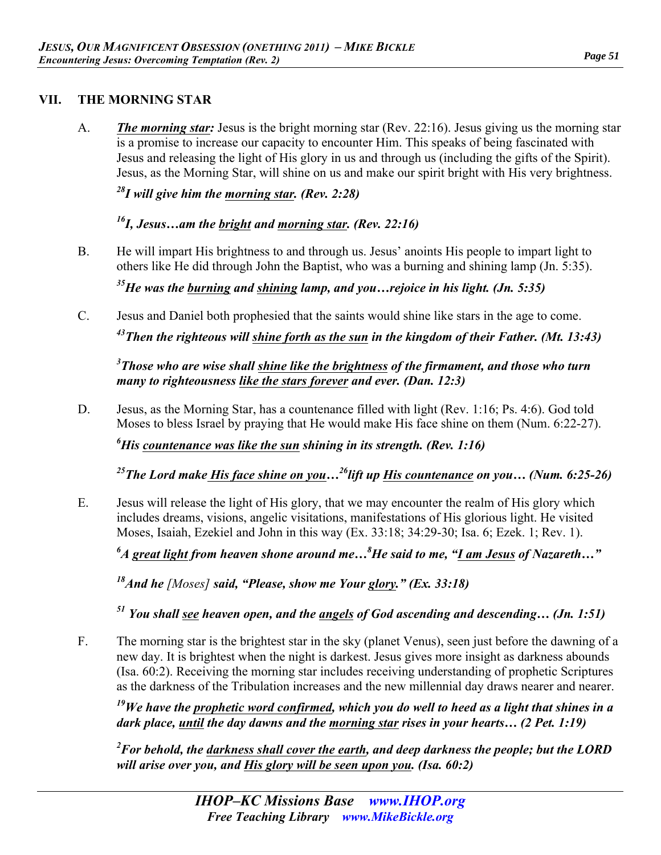#### **VII. THE MORNING STAR**

A. *The morning star:* Jesus is the bright morning star (Rev. 22:16). Jesus giving us the morning star is a promise to increase our capacity to encounter Him. This speaks of being fascinated with Jesus and releasing the light of His glory in us and through us (including the gifts of the Spirit). Jesus, as the Morning Star, will shine on us and make our spirit bright with His very brightness.

*28I will give him the morning star. (Rev. 2:28)* 

*16I, Jesus…am the bright and morning star. (Rev. 22:16)* 

B. He will impart His brightness to and through us. Jesus' anoints His people to impart light to others like He did through John the Baptist, who was a burning and shining lamp (Jn. 5:35).

*35He was the burning and shining lamp, and you…rejoice in his light. (Jn. 5:35)* 

C. Jesus and Daniel both prophesied that the saints would shine like stars in the age to come. *43Then the righteous will shine forth as the sun in the kingdom of their Father. (Mt. 13:43)* 

*3 Those who are wise shall shine like the brightness of the firmament, and those who turn many to righteousness like the stars forever and ever. (Dan. 12:3)* 

D. Jesus, as the Morning Star, has a countenance filled with light (Rev. 1:16; Ps. 4:6). God told Moses to bless Israel by praying that He would make His face shine on them (Num. 6:22-27).

*6 His countenance was like the sun shining in its strength. (Rev. 1:16)* 

*25The Lord make His face shine on you…26lift up His countenance on you… (Num. 6:25-26)* 

E. Jesus will release the light of His glory, that we may encounter the realm of His glory which includes dreams, visions, angelic visitations, manifestations of His glorious light. He visited Moses, Isaiah, Ezekiel and John in this way (Ex. 33:18; 34:29-30; Isa. 6; Ezek. 1; Rev. 1).

*6 A great light from heaven shone around me…8 He said to me, "I am Jesus of Nazareth…"* 

*18And he [Moses] said, "Please, show me Your glory." (Ex. 33:18)* 

*51 You shall see heaven open, and the angels of God ascending and descending… (Jn. 1:51)* 

F. The morning star is the brightest star in the sky (planet Venus), seen just before the dawning of a new day. It is brightest when the night is darkest. Jesus gives more insight as darkness abounds (Isa. 60:2). Receiving the morning star includes receiving understanding of prophetic Scriptures as the darkness of the Tribulation increases and the new millennial day draws nearer and nearer.

*19We have the prophetic word confirmed, which you do well to heed as a light that shines in a dark place, until the day dawns and the morning star rises in your hearts… (2 Pet. 1:19)* 

*2 For behold, the darkness shall cover the earth, and deep darkness the people; but the LORD will arise over you, and His glory will be seen upon you. (Isa. 60:2)*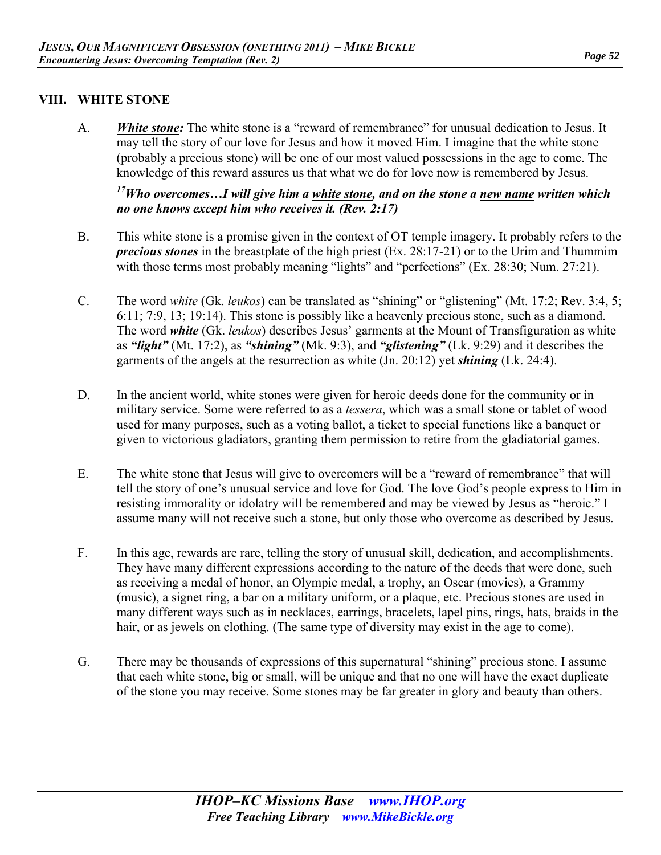#### *Page 52*

#### **VIII. WHITE STONE**

A. *White stone:* The white stone is a "reward of remembrance" for unusual dedication to Jesus. It may tell the story of our love for Jesus and how it moved Him. I imagine that the white stone (probably a precious stone) will be one of our most valued possessions in the age to come. The knowledge of this reward assures us that what we do for love now is remembered by Jesus.

#### *17Who overcomes…I will give him a white stone, and on the stone a new name written which no one knows except him who receives it. (Rev. 2:17)*

- B. This white stone is a promise given in the context of OT temple imagery. It probably refers to the *precious stones* in the breastplate of the high priest (Ex. 28:17-21) or to the Urim and Thummim with those terms most probably meaning "lights" and "perfections" (Ex. 28:30; Num. 27:21).
- C. The word *white* (Gk. *leukos*) can be translated as "shining" or "glistening" (Mt. 17:2; Rev. 3:4, 5; 6:11; 7:9, 13; 19:14). This stone is possibly like a heavenly precious stone, such as a diamond. The word *white* (Gk. *leukos*) describes Jesus' garments at the Mount of Transfiguration as white as *"light"* (Mt. 17:2), as *"shining"* (Mk. 9:3), and *"glistening"* (Lk. 9:29) and it describes the garments of the angels at the resurrection as white (Jn. 20:12) yet *shining* (Lk. 24:4).
- D. In the ancient world, white stones were given for heroic deeds done for the community or in military service. Some were referred to as a *tessera*, which was a small stone or tablet of wood used for many purposes, such as a voting ballot, a ticket to special functions like a banquet or given to victorious gladiators, granting them permission to retire from the gladiatorial games.
- E. The white stone that Jesus will give to overcomers will be a "reward of remembrance" that will tell the story of one's unusual service and love for God. The love God's people express to Him in resisting immorality or idolatry will be remembered and may be viewed by Jesus as "heroic." I assume many will not receive such a stone, but only those who overcome as described by Jesus.
- F. In this age, rewards are rare, telling the story of unusual skill, dedication, and accomplishments. They have many different expressions according to the nature of the deeds that were done, such as receiving a medal of honor, an Olympic medal, a trophy, an Oscar (movies), a Grammy (music), a signet ring, a bar on a military uniform, or a plaque, etc. Precious stones are used in many different ways such as in necklaces, earrings, bracelets, lapel pins, rings, hats, braids in the hair, or as jewels on clothing. (The same type of diversity may exist in the age to come).
- G. There may be thousands of expressions of this supernatural "shining" precious stone. I assume that each white stone, big or small, will be unique and that no one will have the exact duplicate of the stone you may receive. Some stones may be far greater in glory and beauty than others.